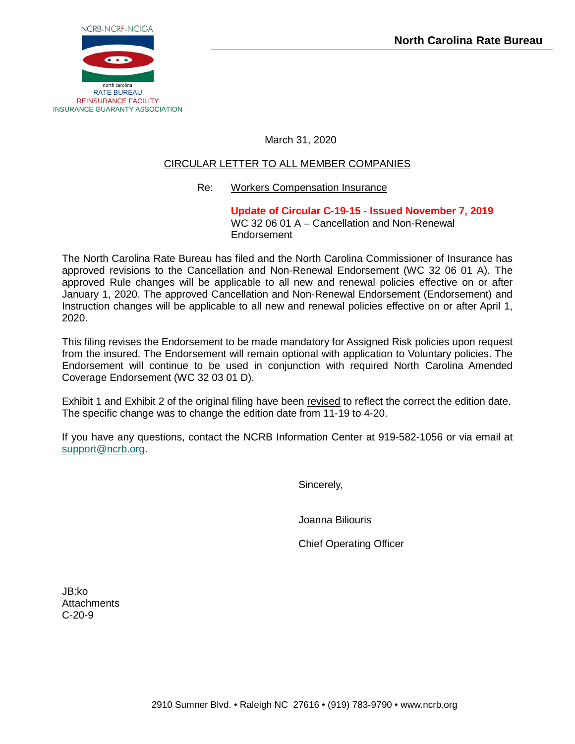

March 31, 2020

# CIRCULAR LETTER TO ALL MEMBER COMPANIES

# Re: Workers Compensation Insurance

**Update of Circular C-19-15 - Issued November 7, 2019** WC 32 06 01 A – Cancellation and Non-Renewal Endorsement

The North Carolina Rate Bureau has filed and the North Carolina Commissioner of Insurance has approved revisions to the Cancellation and Non-Renewal Endorsement (WC 32 06 01 A). The approved Rule changes will be applicable to all new and renewal policies effective on or after January 1, 2020. The approved Cancellation and Non-Renewal Endorsement (Endorsement) and Instruction changes will be applicable to all new and renewal policies effective on or after April 1, 2020.

This filing revises the Endorsement to be made mandatory for Assigned Risk policies upon request from the insured. The Endorsement will remain optional with application to Voluntary policies. The Endorsement will continue to be used in conjunction with required North Carolina Amended Coverage Endorsement (WC 32 03 01 D).

Exhibit 1 and Exhibit 2 of the original filing have been revised to reflect the correct the edition date. The specific change was to change the edition date from 11-19 to 4-20.

If you have any questions, contact the NCRB Information Center at 919-582-1056 or via email at [support@ncrb.org.](mailto:support@ncrb.org)

Sincerely,

Joanna Biliouris

Chief Operating Officer

JB:ko **Attachments** C-20-9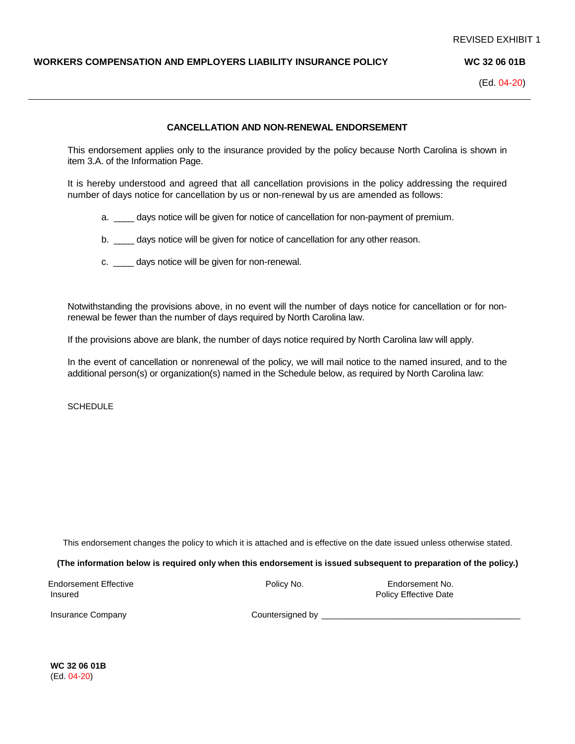## **WORKERS COMPENSATION AND EMPLOYERS LIABILITY INSURANCE POLICY WC 32 06 01B**

(Ed. 04-20)

### **CANCELLATION AND NON-RENEWAL ENDORSEMENT**

This endorsement applies only to the insurance provided by the policy because North Carolina is shown in item 3.A. of the Information Page.

It is hereby understood and agreed that all cancellation provisions in the policy addressing the required number of days notice for cancellation by us or non-renewal by us are amended as follows:

a. \_\_\_\_ days notice will be given for notice of cancellation for non-payment of premium.

b. days notice will be given for notice of cancellation for any other reason.

c. \_\_\_\_ days notice will be given for non-renewal.

Notwithstanding the provisions above, in no event will the number of days notice for cancellation or for nonrenewal be fewer than the number of days required by North Carolina law.

If the provisions above are blank, the number of days notice required by North Carolina law will apply.

In the event of cancellation or nonrenewal of the policy, we will mail notice to the named insured, and to the additional person(s) or organization(s) named in the Schedule below, as required by North Carolina law:

**SCHEDULE** 

This endorsement changes the policy to which it is attached and is effective on the date issued unless otherwise stated.

**(The information below is required only when this endorsement is issued subsequent to preparation of the policy.)**

| Endorsement Effective | Policy No. | Endorsement No.       |
|-----------------------|------------|-----------------------|
| Insured               |            | Policy Effective Date |

Insurance Company and Countersigned by **Countersigned** by **Countersigned** by **Countersigned** by **Countersigned** by **Countersigned** by **Countersigned** by **COUNTER** 

**WC 32 06 01B** (Ed. 04-20)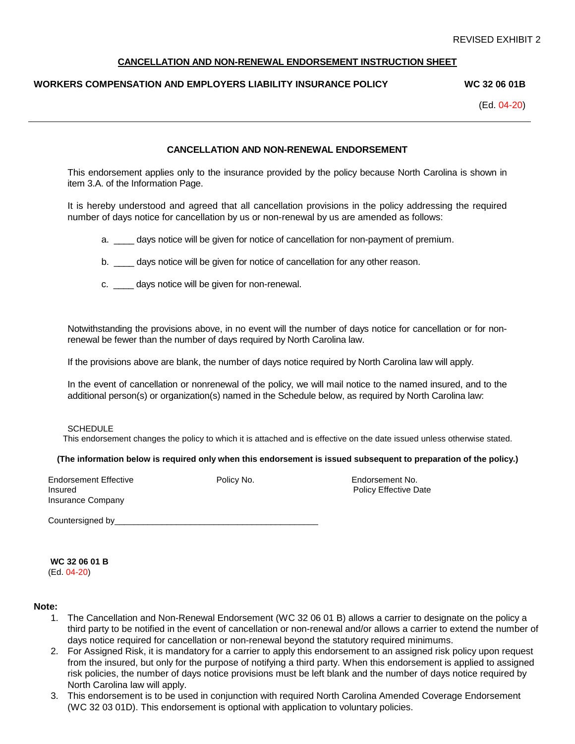### **CANCELLATION AND NON-RENEWAL ENDORSEMENT INSTRUCTION SHEET**

# **WORKERS COMPENSATION AND EMPLOYERS LIABILITY INSURANCE POLICY WC 32 06 01B**

(Ed. 04-20)

## **CANCELLATION AND NON-RENEWAL ENDORSEMENT**

This endorsement applies only to the insurance provided by the policy because North Carolina is shown in item 3.A. of the Information Page.

It is hereby understood and agreed that all cancellation provisions in the policy addressing the required number of days notice for cancellation by us or non-renewal by us are amended as follows:

a. days notice will be given for notice of cancellation for non-payment of premium.

- b. \_\_\_\_ days notice will be given for notice of cancellation for any other reason.
- c. \_\_\_\_ days notice will be given for non-renewal.

Notwithstanding the provisions above, in no event will the number of days notice for cancellation or for nonrenewal be fewer than the number of days required by North Carolina law.

If the provisions above are blank, the number of days notice required by North Carolina law will apply.

In the event of cancellation or nonrenewal of the policy, we will mail notice to the named insured, and to the additional person(s) or organization(s) named in the Schedule below, as required by North Carolina law:

#### **SCHEDULE**

This endorsement changes the policy to which it is attached and is effective on the date issued unless otherwise stated.

#### **(The information below is required only when this endorsement is issued subsequent to preparation of the policy.)**

Endorsement Effective **Endorsement No.** Policy No. **Endorsement No.** Policy No. **Endorsement No. Insured** Policy Effective Date **Provides** Policy Effective Date Insurance Company

Countersigned by example of the state of the state of the state of the state of the state of the state of the state of the state of the state of the state of the state of the state of the state of the state of the state of

**WC 32 06 01 B**

(Ed. 04-20)

#### **Note:**

- 1. The Cancellation and Non-Renewal Endorsement (WC 32 06 01 B) allows a carrier to designate on the policy a third party to be notified in the event of cancellation or non-renewal and/or allows a carrier to extend the number of days notice required for cancellation or non-renewal beyond the statutory required minimums.
- 2. For Assigned Risk, it is mandatory for a carrier to apply this endorsement to an assigned risk policy upon request from the insured, but only for the purpose of notifying a third party. When this endorsement is applied to assigned risk policies, the number of days notice provisions must be left blank and the number of days notice required by North Carolina law will apply.
- 3. This endorsement is to be used in conjunction with required North Carolina Amended Coverage Endorsement (WC 32 03 01D). This endorsement is optional with application to voluntary policies.